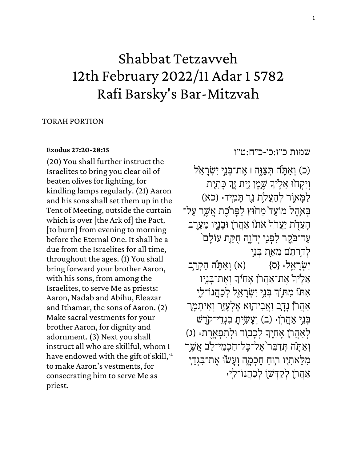# Shabbat Tetzavveh 12th February 2022/11 Adar 1 5782 Rafi Barsky's Bar-Mitzvah

### TORAH PORTION

#### **[Exodus 27:20-28:15](https://www.sefaria.org/Exodus.27.20-28.15)**

(20) You shall further instruct the Israelites to bring you clear oil of beaten olives for lighting, for kindling lamps regularly. (21) Aaron and his sons shall set them up in the Tent of Meeting, outside the curtain which is over [the Ark of] the Pact, [to burn] from evening to morning before the Eternal One. It shall be a due from the Israelites for all time, throughout the ages. (1) You shall bring forward your brother Aaron, with his sons, from among the Israelites, to serve Me as priests: Aaron, Nadab and Abihu, Eleazar and Ithamar, the sons of Aaron. (2) Make sacral vestments for your brother Aaron, for dignity and adornment. (3) Next you shall instruct all who are skillful, whom I have endowed with the gift of skill, a to make Aaron's vestments, for consecrating him to serve Me as priest.

[שמות](https://www.sefaria.org/Exodus.27.20-28.15) [כ״ז:כ׳-כ״ח:ט״ו](https://www.sefaria.org/Exodus.27.20-28.15) 

(כ) וְאַתָּה תְּצַוֶּה ו אֶת־בְּנֵי יִשְׂרָאֵל וְיִקְחוֹ אֵלֶ<sup>יּ</sup>ךְ שֶׁמֶן זַיִת זֶךְ כָּתִית ֖֧֚֚֝֝<br>֧֖֧֖֖֧֧֖֧֧֖֧֚֚֚֚֚֚֚֚֚֚֚֝֝֝֓֝֝֝֝֬֝֬֝֓֝֬֝֬<br>֧֧֧֝֩ לַמַּאוָר לְהַעֲלֹת נֵר תַּמְיִד: (כא) בִּאְהֵל מוֹעֵד מְחֹוּץ לַפָּר*י*ֹבֶת אֲשֶר עַל־ הְעֵדָת יַעֲרֹךְ אֹתוֹ אַהֲרֹן וּבְנָיו מֵעֶרֶב ֧֧֖֖֖֖֖֖֖֧֢ׅ֧ׅ֧֧ׅ֧֧ׅ֧֧֚֚֚֚֚֚֚֚֝֝֝֓֓֡֬֝֬֝֬֓֝֬֜֓֝֬֝֬ עַד־בֹּקֵר לִפְנֵי יִהֹוֶה חִקַּת עוֹלַם<sup>י</sup> לְדִרֹתַם מֵאֵת בִּנֵי יִשְׂרַאֵל: {ס} (א) וְאַתָּה הַקְרֵב אֵלֶ<sup>י</sup>וּדְ אֶת־אַהֲרֹן אָחִידִּ וְאֶת־בָּנָיו י<br>י  $\frac{1}{1}$ ֹאִתוֹ מִתְּוֹךְ בְּנֵי יִשְׂרָאֵל לְכַהֲנוֹ־לִיָ ֧֧֖֖֖֖֖֖֖֧֚֚֚֚֚֚֚֚֝֝<u>֓</u> אַהֲרֹן נָדָב וַאֲבִיהוָּא אֵלְעָזֵר וְאִיתָמָר בְּנֵי אַהֲרֹןָּ∙ (ב) וְעֲשָׂיִתָ בְגְדֵי־קֹדֵשׁ ּלְאַהֲרֹן אָחִיֶךָ לְכָבוֹד וּלְתִפְאָרֶת. (ג)  $\frac{1}{1}$ וְאַתָּה תְדַבֵּר<sup>י</sup>אֶל־כַל־חַכִמֵי־לֵב אֲשֵר מִלֵאתִיו רִוּחַ חַכְמָה וְעַשׂוּ אֵת־בִּגְדֵי אַהֲרֹוָ לְקַדָּשׁוֹ לְכַהֲנוֹ־לִיִּ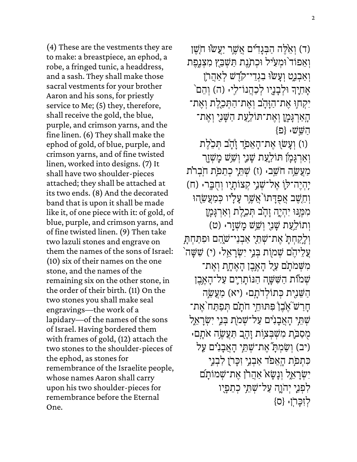(ד) וְאֵלֶה הַבְּנָדִים אֲשֶר יַעֲשׂוּ חֹשֶׁן וְאֵפוֹד וּמְעִיל וּכְתֹנֶת תַּשְׁבֵץ מִצְנֶפֶת וְאַבְנֵט וְעַשׂוּ בְגְדֵי־קֹדֵשׁ לְאַהֲרֹן אָחִיֶךְ וּלְבָנֶיו לְכַהֲנוֹ־לִיּ (ה) וְהֵם  $\frac{1}{1}$ יִקְחוִ אֵת־הַזָּהָב וְאֵת־הַתְּכֵלֵת וְאֵת־ הַאַרְגָּמֶן וְאֵת־תּוֹלַעַת הַשָּׁנִי וְאֵת־  $\{\Xi\}$  : הַ שֵׁ

וֹ) וְעָשׂוָ אֶת־הָאֵפֹרְ זָדָב תִּכֵ<sup>ּ</sup>לֵת וְאַרְגָּמָן תּוֹלַעַת שָׁנֵי וְשָׁשׁ מַשְׁזָר מַעֲ שֶׂה חֹשֵׁב: (ז) שָׁתֵּי כְתֵמֹת חֹבְרֹת יַהְיֵה־לְוָ אֶל־שָׁנִי קְצוֹתָיו וְחֻבְֶּר: (ח) וְחֵשֶׁב אֲפְדָּתוֹ<sup>י</sup>אֲשֶׁר עָלָיו כִּמַעֲשֶׂהוּ מִמֶּנּוּ יִהְיֶה זָהָב תְּכֵלֶת וְאַרְגָּמָן וְתוֹלַעַת שָׁנִי וְשָׁשׁ מַשְׁזֵר: (ט) וְלַקַחְתָּ אֶת־שָׁתֵי אַבְנֵי־שֹׂהֲם וּפִתַּחִת*ָּ* ֿ עֲלֵיהֵם שָׁמוָת בָּנֵי יִשְׂרָאֵל: (י) שָׁשָּׁה מִשָּׁמֹתָם עַל הָאֱבֵן הָאֵחֶת וְאֵת־ שמות הַשָּׁשָה הַנּוֹתָרִים עַל־הָא<u>ָב</u>ן הַשֶּׁנָית כְּתוֹלְדֹתְם: (יֹא) מַעֲשָׂה חַרַש ֹאָבֶן פִּתּוּחֵי חֹתָם תִּפַתַּח ֹאֵת־ שְׁתֵי הָאֲבָנִים עַל־שָׁמֹת בִּנֵי יִשְׂרָאֵל ּמְסַבֹּת מִשְׁבְצוֹת זָהָב תַּעֲשֶׂה אֹתָם יב) וְשַׂמְתְ*" אֶת־שְׁתֵי* הָאֲבָנִים עַל) כִּתְמַֹת הָאֵפֹד אַבְנֵי זִכָּרֹן לִבְנֵי יִשְׂרָאֵל וְנָשָׂא אַהֲרֹן אֶת־שָׁמוֹתָם לִפְנֵי יְהֹוָה עַל־שָׁתֵי כְתֵפַיו  $\{0\}$  לְזִכֲרֹן:  $\{0\}$ 

(4) These are the vestments they are to make: a breastpiece, an ephod, a robe, a fringed tunic, a headdress, and a sash. They shall make those sacral vestments for your brother Aaron and his sons, for priestly service to Me; (5) they, therefore, shall receive the gold, the blue, purple, and crimson yarns, and the fine linen. (6) They shall make the ephod of gold, of blue, purple, and crimson yarns, and of fine twisted linen, worked into designs. (7) It shall have two shoulder-pieces attached; they shall be attached at its two ends. (8) And the decorated band that is upon it shall be made like it, of one piece with it: of gold, of blue, purple, and crimson yarns, and of fine twisted linen. (9) Then take two lazuli stones and engrave on them the names of the sons of Israel: (10) six of their names on the one stone, and the names of the remaining six on the other stone, in the order of their birth. (11) On the two stones you shall make seal engravings—the work of a lapidary—of the names of the sons of Israel. Having bordered them with frames of gold, (12) attach the two stones to the shoulder-pieces of the ephod, as stones for remembrance of the Israelite people, whose names Aaron shall carry upon his two shoulder-pieces for remembrance before the Eternal One.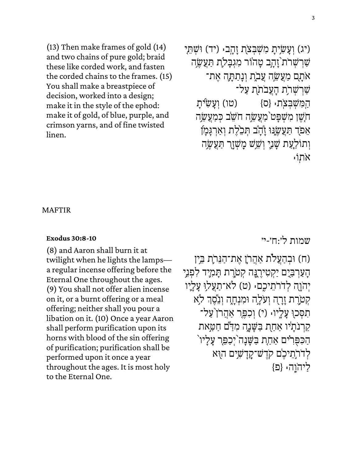(13) Then make frames of gold (14) and two chains of pure gold; braid these like corded work, and fasten the corded chains to the frames. (15) You shall make a breastpiece of decision, worked into a design; make it in the style of the ephod: make it of gold, of blue, purple, and crimson yarns, and of fine twisted linen.

יע) וְעָשׂיָת מִשְׁבִצֹת זָהָב: (יד) וּשָׁתֵי) שַׁרְשָׁרֹת וָהָב טָהוֹר מִגְבָלֹה תַּעֲשֶה אֹתָם מַעֲשֱה עֲבֹת וְנָתַתָּה אֵת־ שַׁרִשְׁרְֹת הַעֲבֹתֹת עַל־ הַמְּשָׁבָּצֹת: {ס} (טו) וְעַשִׂיּת חֹשֵׁן מִשָּׁפָּט<sup>י</sup> מַעֲשֵׂה חֹשֵׂב כִּמַעֲשָׂה אֵפֹד תַּעֲשֵׂנוּ זָדָב תִּכְלֵת וְאַרְגָּמָן וְתוֹלַעֲת שָׁנֵי וְשֵׁשׁ מַשְׁזֶך תַּעֲשֶׂה ּאֹתוֹ

MAFTIR

#### **[Exodus 30:8-10](https://www.sefaria.org/Exodus.30.8-10)**

(8) and Aaron shall burn it at twilight when he lights the lamps a regular incense offering before the Eternal One throughout the ages. (9) You shall not offer alien incense on it, or a burnt offering or a meal offering; neither shall you pour a libation on it. (10) Once a year Aaron shall perform purification upon its horns with blood of the sin offering of purification; purification shall be performed upon it once a year throughout the ages. It is most holy to the Eternal One.

[שמות](https://www.sefaria.org/Exodus.30.8-10) [ל׳: ח׳-י׳](https://www.sefaria.org/Exodus.30.8-10) 

ּוֹח) וּבְהַעֲלֹת אַהֲרֹן אֶת־הַנֵּרֹתָ בֵין הַעַרְבַיֶם יַקְטִירֵנֶה קִטֹרֶת תַּמְיָד לִפְנֵי יְהֹוָה לְדֹרֹתֵיכֶם: (ט) לֹא־תַעֲלוּ עַלְיו קְטֹרֶת זָרָה וְעֹלְה וּמִנְחָה וְנֵסֶךְ לֹא ֧֖֧֖֖֖֖֖֖֖֧ׅ֖֖֧֚֚֚֚֚֚֚֚֚֚֝֝֝<u>֚</u> תִסְכוּ עָלָיוּ (י) וְכִפֵּר אַהֲרֹן עַל־ קרנתיו אַחָת בַּשַּׁנַה מִדַּם חַטַּאת הַכִּפְּרִים אַחָת בַּשֵּׁנַה<sup>י</sup>יְכַפֵּר עַלַיו<sup>י</sup> לְדֹרֹתֵיכֵ<sup>ּי</sup>ם קֹדֵשׁ־קַדַשִּׁים הוָא  $\{\Xi\}$ וֹוֹה:  $\{\Xi\}$